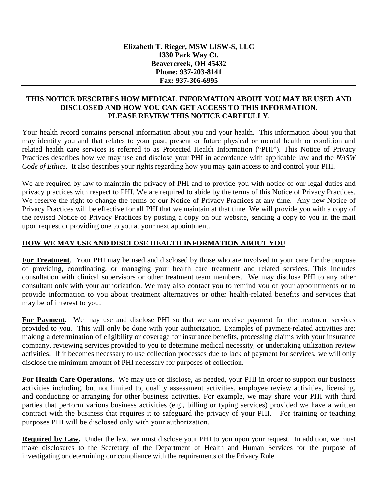#### **THIS NOTICE DESCRIBES HOW MEDICAL INFORMATION ABOUT YOU MAY BE USED AND DISCLOSED AND HOW YOU CAN GET ACCESS TO THIS INFORMATION. PLEASE REVIEW THIS NOTICE CAREFULLY.**

Your health record contains personal information about you and your health. This information about you that may identify you and that relates to your past, present or future physical or mental health or condition and related health care services is referred to as Protected Health Information ("PHI"). This Notice of Privacy Practices describes how we may use and disclose your PHI in accordance with applicable law and the *NASW Code of Ethics*. It also describes your rights regarding how you may gain access to and control your PHI.

We are required by law to maintain the privacy of PHI and to provide you with notice of our legal duties and privacy practices with respect to PHI. We are required to abide by the terms of this Notice of Privacy Practices. We reserve the right to change the terms of our Notice of Privacy Practices at any time. Any new Notice of Privacy Practices will be effective for all PHI that we maintain at that time. We will provide you with a copy of the revised Notice of Privacy Practices by posting a copy on our website, sending a copy to you in the mail upon request or providing one to you at your next appointment.

### **HOW WE MAY USE AND DISCLOSE HEALTH INFORMATION ABOUT YOU**

**For Treatment**.Your PHI may be used and disclosed by those who are involved in your care for the purpose of providing, coordinating, or managing your health care treatment and related services. This includes consultation with clinical supervisors or other treatment team members. We may disclose PHI to any other consultant only with your authorization. We may also contact you to remind you of your appointments or to provide information to you about treatment alternatives or other health-related benefits and services that may be of interest to you.

For Payment. We may use and disclose PHI so that we can receive payment for the treatment services provided to you. This will only be done with your authorization. Examples of payment-related activities are: making a determination of eligibility or coverage for insurance benefits, processing claims with your insurance company, reviewing services provided to you to determine medical necessity, or undertaking utilization review activities. If it becomes necessary to use collection processes due to lack of payment for services, we will only disclose the minimum amount of PHI necessary for purposes of collection.

**For Health Care Operations.** We may use or disclose, as needed, your PHI in order to support our business activities including, but not limited to, quality assessment activities, employee review activities, licensing, and conducting or arranging for other business activities. For example, we may share your PHI with third parties that perform various business activities (e.g., billing or typing services) provided we have a written contract with the business that requires it to safeguard the privacy of your PHI. For training or teaching purposes PHI will be disclosed only with your authorization.

**Required by Law.** Under the law, we must disclose your PHI to you upon your request. In addition, we must make disclosures to the Secretary of the Department of Health and Human Services for the purpose of investigating or determining our compliance with the requirements of the Privacy Rule.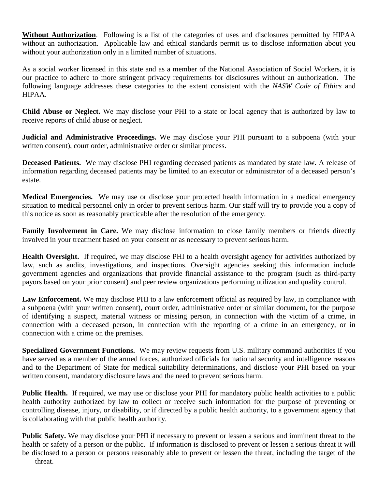**Without Authorization**. Following is a list of the categories of uses and disclosures permitted by HIPAA without an authorization. Applicable law and ethical standards permit us to disclose information about you without your authorization only in a limited number of situations.

As a social worker licensed in this state and as a member of the National Association of Social Workers, it is our practice to adhere to more stringent privacy requirements for disclosures without an authorization. The following language addresses these categories to the extent consistent with the *NASW Code of Ethics* and HIPAA.

**Child Abuse or Neglect.** We may disclose your PHI to a state or local agency that is authorized by law to receive reports of child abuse or neglect.

**Judicial and Administrative Proceedings.** We may disclose your PHI pursuant to a subpoena (with your written consent), court order, administrative order or similar process.

**Deceased Patients.** We may disclose PHI regarding deceased patients as mandated by state law. A release of information regarding deceased patients may be limited to an executor or administrator of a deceased person's estate.

**Medical Emergencies.** We may use or disclose your protected health information in a medical emergency situation to medical personnel only in order to prevent serious harm. Our staff will try to provide you a copy of this notice as soon as reasonably practicable after the resolution of the emergency.

**Family Involvement in Care.** We may disclose information to close family members or friends directly involved in your treatment based on your consent or as necessary to prevent serious harm.

**Health Oversight.** If required, we may disclose PHI to a health oversight agency for activities authorized by law, such as audits, investigations, and inspections. Oversight agencies seeking this information include government agencies and organizations that provide financial assistance to the program (such as third-party payors based on your prior consent) and peer review organizations performing utilization and quality control.

**Law Enforcement.** We may disclose PHI to a law enforcement official as required by law, in compliance with a subpoena (with your written consent), court order, administrative order or similar document, for the purpose of identifying a suspect, material witness or missing person, in connection with the victim of a crime, in connection with a deceased person, in connection with the reporting of a crime in an emergency, or in connection with a crime on the premises.

**Specialized Government Functions.** We may review requests from U.S. military command authorities if you have served as a member of the armed forces, authorized officials for national security and intelligence reasons and to the Department of State for medical suitability determinations, and disclose your PHI based on your written consent, mandatory disclosure laws and the need to prevent serious harm.

**Public Health.** If required, we may use or disclose your PHI for mandatory public health activities to a public health authority authorized by law to collect or receive such information for the purpose of preventing or controlling disease, injury, or disability, or if directed by a public health authority, to a government agency that is collaborating with that public health authority.

**Public Safety.** We may disclose your PHI if necessary to prevent or lessen a serious and imminent threat to the health or safety of a person or the public. If information is disclosed to prevent or lessen a serious threat it will be disclosed to a person or persons reasonably able to prevent or lessen the threat, including the target of the threat.